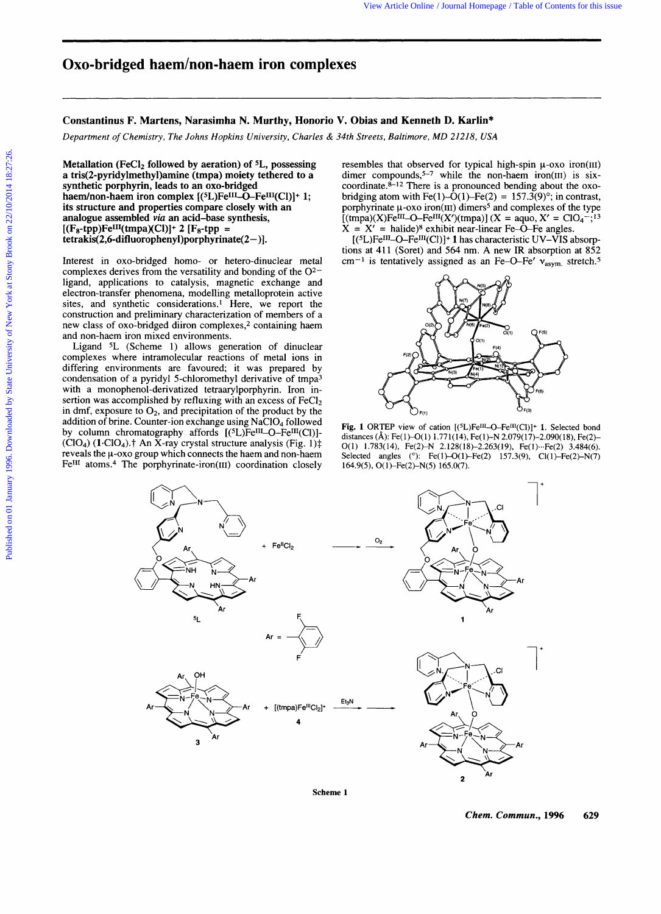## **Oxo-bridged haem/non-haem iron complexes**

## **Constantinus F. Martens, Narasimha N. Murthy, Honorio V. Obias and Kenneth D. Karlin\***<br>Department of Chemistry, The Johns Hopkins University, Charles & 34th Streets, Baltimore, MD 21218, USA<br>Metallation (EcCl. followed by **F. Martens, Narasimha N. Murthy, Honorio V. Obias and Kenneth D. Karlin" Franch Complexes**<br> **Charles & 34th Streets, Baltimore, MD 21218, USA**<br> **Charles & 34th Streets, Baltimore, MD 21218, USA**

*Department of Chemistry, The Johns Hopkins University, Charles & 34th Streets, Baltimore, MD 21218, in\**<br>*USA* 

**Metallation (FeCl<sub>2</sub> followed by aeration) of <sup>5</sup>L, possessing a tris(2-pyridylmethy1)amine (tmpa) moiety tethered to a**  synthetic porphyrin, leads to an oxo-bridged<br>haem/non-haem iron complex [(<sup>5</sup>L)Fe<sup>III</sup>–O–Fe<sup>III</sup>(Cl)]<sup>+</sup> 1; **its structure and properties compare closely with an analogue assembled** *via* **an acid-base synthesis,**  $[(F_8\t{-}tpp)Fe^{III}(tmpa)(Cl))^+ 2 [F_8\t{-}tpp] =$ **tetrakis(2,6-difluorophenyl)porphyrinate(2-)]. Metallation (FeCl<sub>2</sub> followed by aeration) of <sup>3</sup>L, possessing<br>
a tris(2-pyridylmethyl)amine (tmpa) moiety tethered to a<br>
significal compounds,<sup>5-7</sup> while the non-haem iron(III) is six-<br>
synthetic porphyrin, leads to an** 

Interest in 0x0-bridged homo- or hetero-dinuclear metal complexes derives from the versatility and bonding of the  $O^{2-}$ ligand, applications to catalysis, magnetic exchange and electron-transfer phenomena, modelling metalloprotein active sites, and synthetic considerations.<sup>1</sup> Here, we report the construction and preliminary characterization of members of a new class of oxo-bridged diiron complexes,<sup>2</sup> containing haem and non-haem iron mixed environments.

Ligand 5L (Scheme 1) allows generation of dinuclear complexes where intramolecular reactions of metal ions in differing environments are favoured; it was prepared by condensation of a pyridyl 5-chloromethyl derivative of tmpa3 with a monophenol-derivatized tetraarylporphyrin. Iron insertion was accomplished by refluxing with an excess of  $FeCl<sub>2</sub>$ in dmf, exposure to  $O_2$ , and precipitation of the product by the addition of brine. Counter-ion exchange using NaClO<sub>4</sub> followed by column chromatography affords  $[(5L)Fe<sup>III</sup>-O-Fe<sup>III</sup>(Cl)]$ - $(CIO<sub>4</sub>)$  (1 ClO<sub>4</sub>).<sup>†</sup> An X-ray crystal structure analysis (Fig. 1)<sup>†</sup> reveals the  $\mu$ -oxo group which connects the haem and non-haem Fe $\text{III}$  atoms.<sup>4</sup> The porphyrinate-iron(III) coordination closely with a monophenol-derivatized tetraarylporphyrin. Iron in-<br>sertion was accomplished by refluxing with an excess of FeCl<sub>2</sub><br>addition of the product by the angle using NaClO<sub>4</sub> followed<br>by column chromatography affords [(<sup>2</sup>

**Metallation (FeCl<sub>2</sub> followed by aeration) of <sup>5</sup>L, possessing resembles that observed for typical high-spin**  $\mu$ **-oxo iron(III) a tris(2-pyridylmethyl)amine (tmpa) moiety tethered to a dimer compounds,<sup>5-7</sup> while the non** resembles that observed for typical high-spin  $\mu$ -oxo iron(III) dimer compounds,  $5-7$  while the non-haem iron(III) is sixcoordinate. ${}^{8-12}$  There is a pronounced bending about the oxobridging atom with Fe(1)-O(1)-Fe(2) =  $157.3(9)$ °; in contrast, porphyrinate  $\mu$ -oxo iron(III) dimers<sup>5</sup> and complexes of the type  $[(\text{tmpa})(X)Fe^{III} - O - Fe^{III}(X')(\text{tmpa})](X = \text{aqueo}, X' = ClO_4^{-}; 13)$  $X = X' = \text{halide}^8$  exhibit near-linear Fe- $\hat{O}$ -Fe angles.

[(5L)FeIILO-FeIII(Cl)]+ 1 has characteristic **UV-VIS** absorptions at 411 (Soret) and 564 nm. A new IR absorption at 852  $cm^{-1}$  is tentatively assigned as an Fe-O-Fe'  $v_{asym.}$  stretch.<sup>5</sup>



**Fig. 1** ORTEP **view** of **cation [(5L)Fer1LO-Fe111(Cl)]+ 1. Selected bond**  distances (A): Fe(1)-O(1) 1.771(14), Fe(1)-N 2.079(17)-2.090(18), Fe(2)-*O***(1) 1.783(14), Fe(2)-N 2.128(18)-2.263(19), Fe(1)...Fe(2) Selected angles** (°): **Fe(1)–O(1)–Fe(2)** 157.3(9), **Cl(1)–Fe(2)–N**( **3.484(6)**<br>3.484(6). <br>*<i>z*<sub>2</sub> - *N*(7) **164.9(5),** O( **l)-Fe(2)-N(5) 165.0(7).** 



**Scheme 1** 

*Chem. Commun.,* **1996 629**